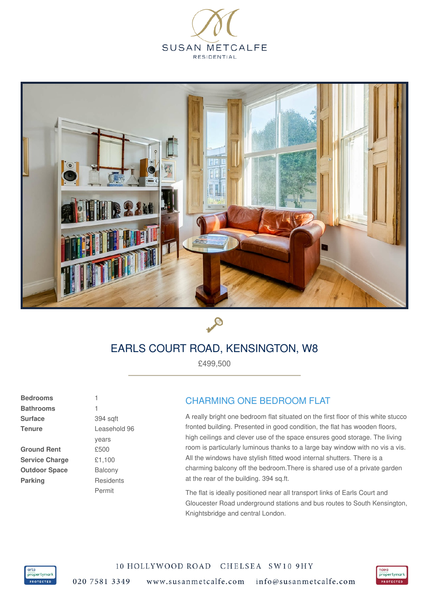





## EARLS COURT ROAD, KENSINGTON, W8

£499,500

**Bedrooms Bathrooms Surface Tenure**

**Ground Rent Service Charge Outdoor Space Parking**

1 394 sqft Leasehold 96 years £500 £1,100 Balcony **Residents** Permit

1

## CHARMING ONE BEDROOM FLAT

A really bright one bedroom flat situated on the first floor of this white stucco fronted building. Presented in good condition, the flat has wooden floors, high ceilings and clever use of the space ensures good storage. The living room is particularly luminous thanks to a large bay window with no vis a vis. All the windows have stylish fitted wood internal shutters. There is a charming balcony off the bedroom.There is shared use of a private garden at the rear of the building. 394 sq.ft.

The flat is ideally positioned near all transport links of Earls Court and Gloucester Road underground stations and bus routes to South Kensington, Knightsbridge and central London.



10 HOLLYWOOD ROAD CHELSEA SW10 9HY 020 7581 3349 www.susanmetcalfe.com info@susanmetcalfe.com

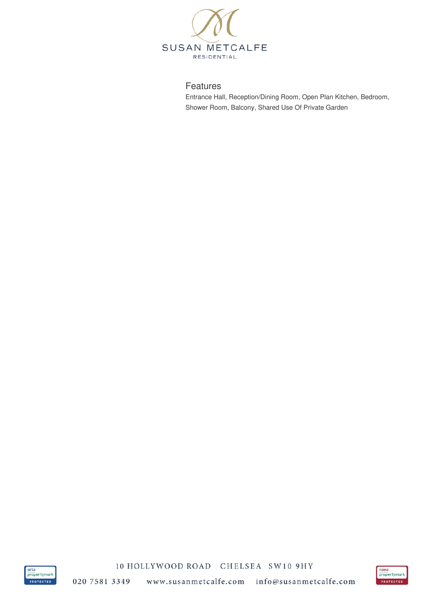

## Features

Entrance Hall, Reception/Dining Room, Open Plan Kitchen, Bedroom, Shower Room, Balcony, Shared Use Of Private Garden



10 HOLLYWOOD ROAD CHELSEA SW10 9HY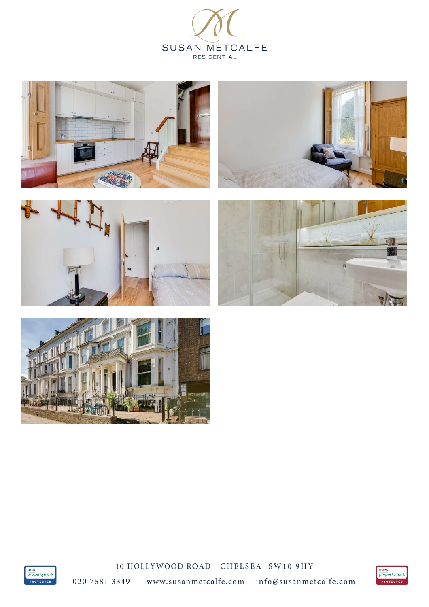













10 HOLLYWOOD ROAD CHELSEA SW10 9HY



020 7581 3349 www.susanmetcalfe.com info@susanmetcalfe.com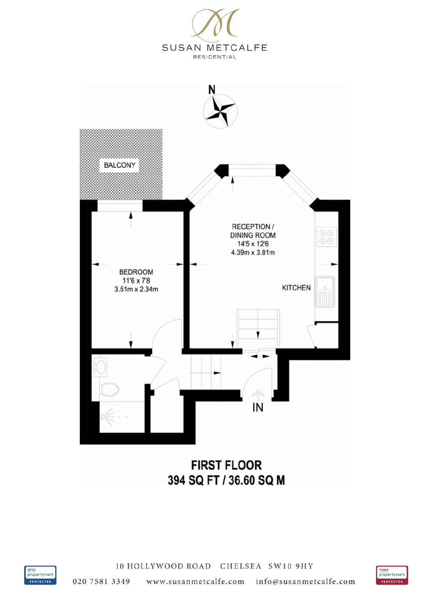